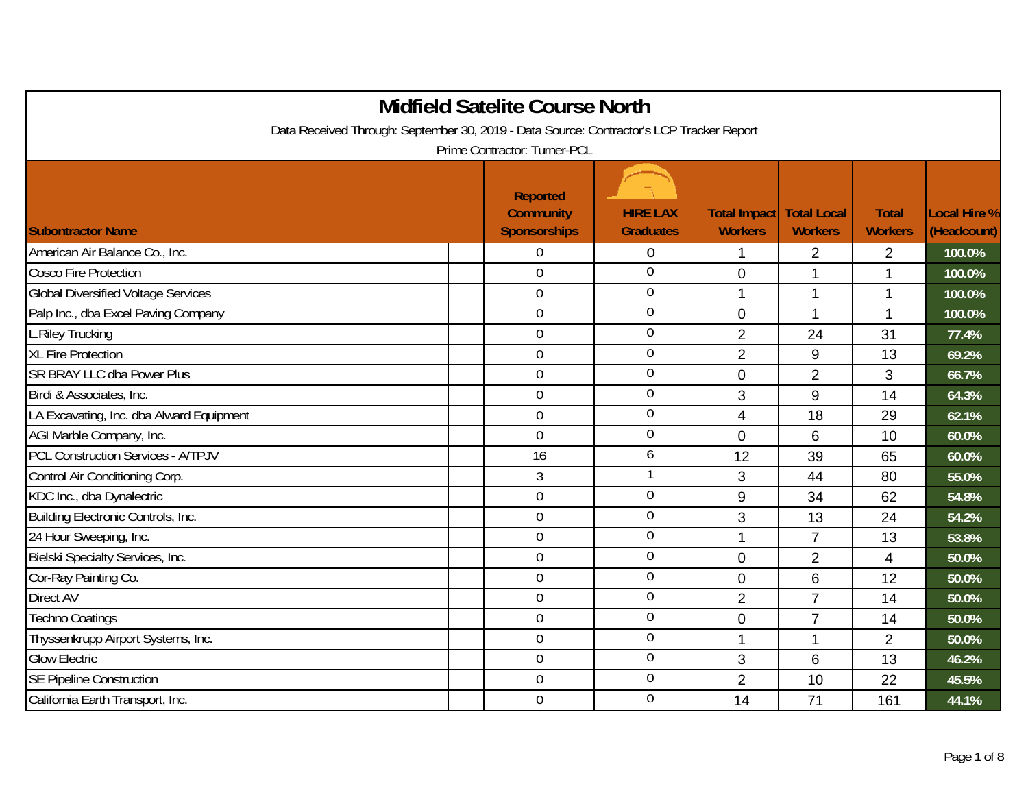|                                                                                          | <b>Midfield Satelite Course North</b>                      |                                     |                                |                                      |                                |                             |
|------------------------------------------------------------------------------------------|------------------------------------------------------------|-------------------------------------|--------------------------------|--------------------------------------|--------------------------------|-----------------------------|
| Data Received Through: September 30, 2019 - Data Source: Contractor's LCP Tracker Report |                                                            |                                     |                                |                                      |                                |                             |
|                                                                                          | Prime Contractor: Turner-PCL                               |                                     |                                |                                      |                                |                             |
| <b>Subontractor Name</b>                                                                 | <b>Reported</b><br><b>Community</b><br><b>Sponsorships</b> | <b>HIRE LAX</b><br><b>Graduates</b> | Total Impact<br><b>Workers</b> | <b>Total Local</b><br><b>Workers</b> | <b>Total</b><br><b>Workers</b> | Local Hire %<br>(Headcount) |
| American Air Balance Co., Inc.                                                           | $\boldsymbol{0}$                                           | $\overline{0}$                      | 1                              | $\overline{2}$                       | $\overline{2}$                 | 100.0%                      |
| <b>Cosco Fire Protection</b>                                                             | $\mathbf 0$                                                | $\boldsymbol{0}$                    | $\mathbf 0$                    | $\mathbf 1$                          | $\mathbf{1}$                   | 100.0%                      |
| <b>Global Diversified Voltage Services</b>                                               | $\overline{0}$                                             | $\overline{0}$                      | 1                              | $\mathbf 1$                          | $\mathbf{1}$                   | 100.0%                      |
| Palp Inc., dba Excel Paving Company                                                      | $\overline{0}$                                             | $\overline{0}$                      | $\overline{0}$                 | $\mathbf 1$                          | 1                              | 100.0%                      |
| L.Riley Trucking                                                                         | $\mathbf 0$                                                | $\mathbf 0$                         | $\overline{2}$                 | 24                                   | 31                             | 77.4%                       |
| <b>XL Fire Protection</b>                                                                | $\overline{0}$                                             | $\overline{0}$                      | $\overline{2}$                 | $\boldsymbol{9}$                     | 13                             | 69.2%                       |
| SR BRAY LLC dba Power Plus                                                               | $\overline{0}$                                             | $\mathbf 0$                         | $\mathbf 0$                    | $\overline{2}$                       | 3                              | 66.7%                       |
| Birdi & Associates, Inc.                                                                 | $\overline{0}$                                             | $\overline{0}$                      | 3                              | 9                                    | 14                             | 64.3%                       |
| LA Excavating, Inc. dba Alward Equipment                                                 | $\mathbf 0$                                                | $\overline{0}$                      | $\overline{4}$                 | 18                                   | 29                             | 62.1%                       |
| AGI Marble Company, Inc.                                                                 | $\overline{0}$                                             | $\mathbf 0$                         | $\Omega$                       | 6                                    | 10                             | 60.0%                       |
| <b>PCL Construction Services - A/TPJV</b>                                                | 16                                                         | 6                                   | 12                             | 39                                   | 65                             | 60.0%                       |
| Control Air Conditioning Corp.                                                           | 3                                                          | 1                                   | 3                              | 44                                   | 80                             | 55.0%                       |
| KDC Inc., dba Dynalectric                                                                | $\overline{0}$                                             | $\overline{0}$                      | 9                              | 34                                   | 62                             | 54.8%                       |
| Building Electronic Controls, Inc.                                                       | $\mathbf 0$                                                | $\mathbf 0$                         | 3                              | 13                                   | 24                             | 54.2%                       |
| 24 Hour Sweeping, Inc.                                                                   | $\overline{0}$                                             | $\mathbf 0$                         | 1                              | $\overline{7}$                       | 13                             | 53.8%                       |
| Bielski Specialty Services, Inc.                                                         | $\mathbf 0$                                                | $\mathbf 0$                         | $\mathbf 0$                    | $\overline{2}$                       | 4                              | 50.0%                       |
| Cor-Ray Painting Co.                                                                     | $\overline{0}$                                             | $\mathbf 0$                         | $\overline{0}$                 | 6                                    | 12                             | 50.0%                       |
| Direct AV                                                                                | $\mathbf 0$                                                | $\mathbf 0$                         | $\overline{2}$                 | $\overline{7}$                       | 14                             | 50.0%                       |
| <b>Techno Coatings</b>                                                                   | $\mathbf 0$                                                | $\mathbf 0$                         | $\overline{0}$                 | $\overline{7}$                       | 14                             | 50.0%                       |
| Thyssenkrupp Airport Systems, Inc.                                                       | $\overline{0}$                                             | $\mathbf 0$                         | 1                              | $\mathbf 1$                          | 2                              | 50.0%                       |
| <b>Glow Electric</b>                                                                     | $\overline{0}$                                             | $\overline{0}$                      | 3                              | 6                                    | 13                             | 46.2%                       |
| <b>SE Pipeline Construction</b>                                                          | $\mathbf 0$                                                | $\boldsymbol{0}$                    | $\overline{2}$                 | 10                                   | 22                             | 45.5%                       |
| California Earth Transport, Inc.                                                         | $\mathbf 0$                                                | $\boldsymbol{0}$                    | 14                             | 71                                   | 161                            | 44.1%                       |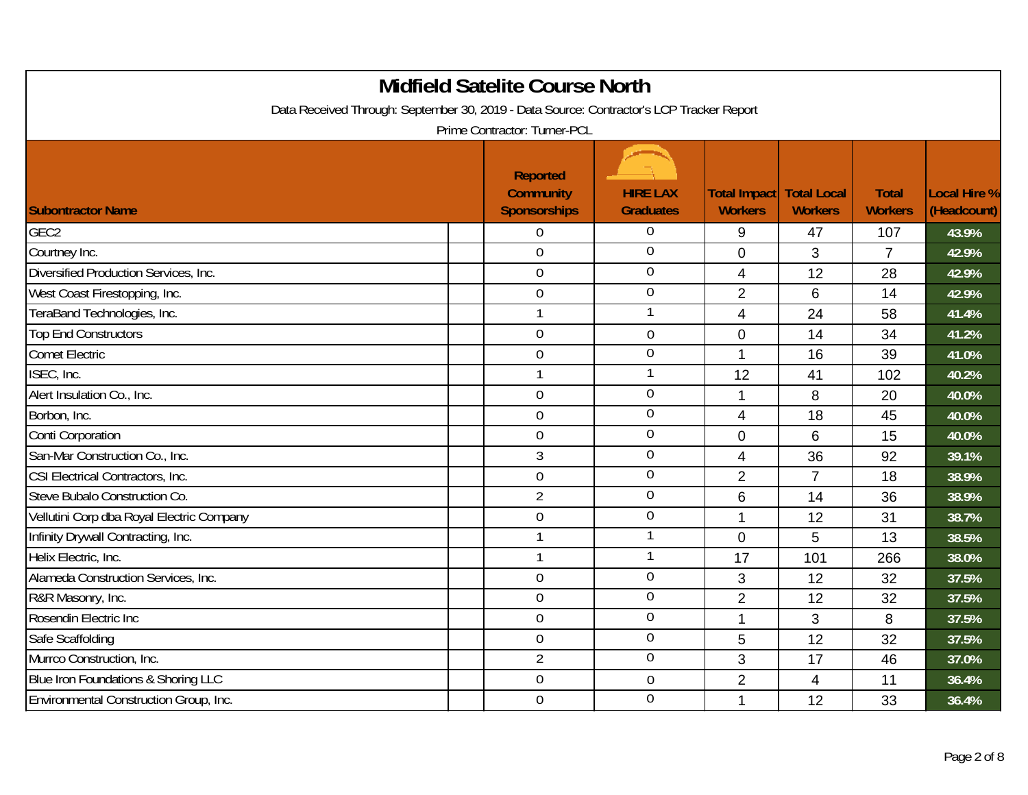| Data Received Through: September 30, 2019 - Data Source: Contractor's LCP Tracker Report | <b>Midfield Satelite Course North</b><br>Prime Contractor: Turner-PCL |                                     |                                       |                                      |                                |                                    |
|------------------------------------------------------------------------------------------|-----------------------------------------------------------------------|-------------------------------------|---------------------------------------|--------------------------------------|--------------------------------|------------------------------------|
| <b>Subontractor Name</b>                                                                 | <b>Reported</b><br><b>Community</b><br><b>Sponsorships</b>            | <b>HIRE LAX</b><br><b>Graduates</b> | <b>Total Impact</b><br><b>Workers</b> | <b>Total Local</b><br><b>Workers</b> | <b>Total</b><br><b>Workers</b> | <b>Local Hire %</b><br>(Headcount) |
| GEC <sub>2</sub>                                                                         | 0                                                                     | $\overline{0}$                      | 9                                     | 47                                   | 107                            | 43.9%                              |
| Courtney Inc.                                                                            | $\overline{0}$                                                        | $\overline{0}$                      | $\overline{0}$                        | 3                                    | $\overline{7}$                 | 42.9%                              |
| Diversified Production Services, Inc.                                                    | $\mathbf 0$                                                           | $\mathbf 0$                         | $\overline{4}$                        | 12                                   | 28                             | 42.9%                              |
| West Coast Firestopping, Inc.                                                            | $\boldsymbol{0}$                                                      | $\overline{0}$                      | $\overline{2}$                        | 6                                    | 14                             | 42.9%                              |
| TeraBand Technologies, Inc.                                                              | $\mathbf{1}$                                                          | 1                                   | $\overline{4}$                        | 24                                   | 58                             | 41.4%                              |
| <b>Top End Constructors</b>                                                              | $\mathbf 0$                                                           | $\mathbf 0$                         | $\mathbf 0$                           | 14                                   | 34                             | 41.2%                              |
| <b>Comet Electric</b>                                                                    | $\overline{0}$                                                        | $\mathbf 0$                         | $\mathbf{1}$                          | 16                                   | 39                             | 41.0%                              |
| ISEC, Inc.                                                                               | $\mathbf{1}$                                                          |                                     | 12                                    | 41                                   | 102                            | 40.2%                              |
| Alert Insulation Co., Inc.                                                               | $\boldsymbol{0}$                                                      | $\mathbf 0$                         | 1                                     | 8                                    | 20                             | 40.0%                              |
| Borbon, Inc.                                                                             | $\mathbf 0$                                                           | $\mathbf 0$                         | $\overline{4}$                        | 18                                   | 45                             | 40.0%                              |
| <b>Conti Corporation</b>                                                                 | $\mathbf 0$                                                           | $\mathbf 0$                         | $\mathbf{0}$                          | 6                                    | 15                             | 40.0%                              |
| San-Mar Construction Co., Inc.                                                           | 3                                                                     | $\mathbf 0$                         | 4                                     | 36                                   | 92                             | 39.1%                              |
| CSI Electrical Contractors, Inc.                                                         | $\mathbf 0$                                                           | $\mathbf 0$                         | $\overline{2}$                        | $\overline{7}$                       | 18                             | 38.9%                              |
| Steve Bubalo Construction Co.                                                            | $\overline{2}$                                                        | $\mathbf 0$                         | 6                                     | 14                                   | 36                             | 38.9%                              |
| Vellutini Corp dba Royal Electric Company                                                | $\mathbf 0$                                                           | $\mathbf 0$                         | 1                                     | 12                                   | 31                             | 38.7%                              |
| Infinity Drywall Contracting, Inc.                                                       | $\mathbf{1}$                                                          | 1                                   | $\overline{0}$                        | 5                                    | 13                             | 38.5%                              |
| Helix Electric, Inc.                                                                     | $\mathbf{1}$                                                          | 1                                   | 17                                    | 101                                  | 266                            | 38.0%                              |
| Alameda Construction Services, Inc.                                                      | $\mathbf 0$                                                           | $\overline{0}$                      | 3                                     | 12                                   | 32                             | 37.5%                              |
| R&R Masonry, Inc.                                                                        | $\overline{0}$                                                        | $\mathbf 0$                         | $\overline{2}$                        | 12                                   | 32                             | 37.5%                              |
| Rosendin Electric Inc                                                                    | $\boldsymbol{0}$                                                      | $\mathbf 0$                         | $\mathbf 1$                           | 3                                    | 8                              | 37.5%                              |
| Safe Scaffolding                                                                         | $\mathbf 0$                                                           | $\overline{0}$                      | 5                                     | 12                                   | 32                             | 37.5%                              |
| Murrco Construction, Inc.                                                                | $\overline{2}$                                                        | $\overline{0}$                      | 3                                     | 17                                   | 46                             | 37.0%                              |
| Blue Iron Foundations & Shoring LLC                                                      | $\mathbf 0$                                                           | $\mathbf 0$                         | $\overline{2}$                        | 4                                    | 11                             | 36.4%                              |
| Environmental Construction Group, Inc.                                                   | $\mathbf 0$                                                           | $\overline{0}$                      | 1                                     | 12                                   | 33                             | 36.4%                              |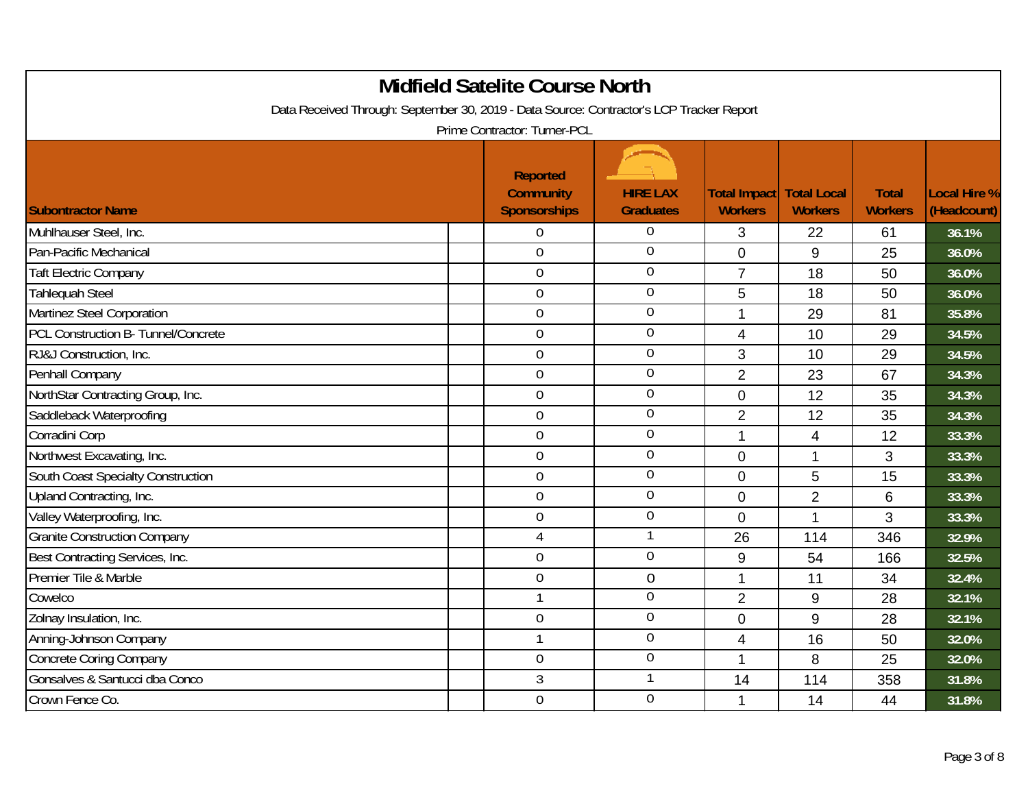| Data Received Through: September 30, 2019 - Data Source: Contractor's LCP Tracker Report | <b>Midfield Satelite Course North</b><br>Prime Contractor: Turner-PCL |                                     |                                       |                                      |                                |                                    |
|------------------------------------------------------------------------------------------|-----------------------------------------------------------------------|-------------------------------------|---------------------------------------|--------------------------------------|--------------------------------|------------------------------------|
| <b>Subontractor Name</b>                                                                 | <b>Reported</b><br><b>Community</b><br><b>Sponsorships</b>            | <b>HIRE LAX</b><br><b>Graduates</b> | <b>Total Impact</b><br><b>Workers</b> | <b>Total Local</b><br><b>Workers</b> | <b>Total</b><br><b>Workers</b> | <b>Local Hire %</b><br>(Headcount) |
| Muhlhauser Steel, Inc.                                                                   | 0                                                                     | $\Omega$                            | 3                                     | 22                                   | 61                             | 36.1%                              |
| Pan-Pacific Mechanical                                                                   | $\overline{0}$                                                        | $\overline{0}$                      | $\overline{0}$                        | 9                                    | 25                             | 36.0%                              |
| <b>Taft Electric Company</b>                                                             | $\mathbf 0$                                                           | $\theta$                            | $\overline{7}$                        | 18                                   | 50                             | 36.0%                              |
| <b>Tahlequah Steel</b>                                                                   | 0                                                                     | $\overline{0}$                      | 5                                     | 18                                   | 50                             | 36.0%                              |
| Martinez Steel Corporation                                                               | $\overline{0}$                                                        | $\overline{0}$                      | 1                                     | 29                                   | 81                             | 35.8%                              |
| PCL Construction B- Tunnel/Concrete                                                      | 0                                                                     | $\theta$                            | $\overline{4}$                        | 10                                   | 29                             | 34.5%                              |
| RJ&J Construction, Inc.                                                                  | 0                                                                     | $\overline{0}$                      | 3                                     | 10                                   | 29                             | 34.5%                              |
| Penhall Company                                                                          | $\overline{0}$                                                        | $\overline{0}$                      | $\overline{2}$                        | 23                                   | 67                             | 34.3%                              |
| NorthStar Contracting Group, Inc.                                                        | 0                                                                     | $\mathbf 0$                         | $\mathbf 0$                           | 12                                   | 35                             | 34.3%                              |
| Saddleback Waterproofing                                                                 | 0                                                                     | $\overline{0}$                      | $\overline{2}$                        | 12                                   | 35                             | 34.3%                              |
| Corradini Corp                                                                           | $\overline{0}$                                                        | $\overline{0}$                      | 1                                     | 4                                    | 12                             | 33.3%                              |
| Northwest Excavating, Inc.                                                               | $\overline{0}$                                                        | $\overline{0}$                      | $\mathbf 0$                           | $\mathbf{1}$                         | 3                              | 33.3%                              |
| South Coast Specialty Construction                                                       | $\mathbf 0$                                                           | $\overline{0}$                      | $\overline{0}$                        | 5                                    | 15                             | 33.3%                              |
| Upland Contracting, Inc.                                                                 | $\overline{0}$                                                        | $\overline{0}$                      | $\mathbf 0$                           | $\overline{2}$                       | 6                              | 33.3%                              |
| Valley Waterproofing, Inc.                                                               | $\boldsymbol{0}$                                                      | $\mathbf 0$                         | 0                                     | $\mathbf{1}$                         | 3                              | 33.3%                              |
| <b>Granite Construction Company</b>                                                      | $\overline{4}$                                                        | 1                                   | 26                                    | 114                                  | 346                            | 32.9%                              |
| Best Contracting Services, Inc.                                                          | $\overline{0}$                                                        | $\theta$                            | 9                                     | 54                                   | 166                            | 32.5%                              |
| Premier Tile & Marble                                                                    | 0                                                                     | $\overline{0}$                      | 1                                     | 11                                   | 34                             | 32.4%                              |
| Cowelco                                                                                  | $\mathbf{1}$                                                          | $\mathbf 0$                         | $\overline{2}$                        | 9                                    | 28                             | 32.1%                              |
| Zolnay Insulation, Inc.                                                                  | 0                                                                     | $\overline{0}$                      | $\mathbf 0$                           | 9                                    | 28                             | 32.1%                              |
| Anning-Johnson Company                                                                   | 1                                                                     | $\mathbf 0$                         | 4                                     | 16                                   | 50                             | 32.0%                              |
| Concrete Coring Company                                                                  | 0                                                                     | $\overline{0}$                      | 1                                     | 8                                    | 25                             | 32.0%                              |
| Gonsalves & Santucci dba Conco                                                           | 3                                                                     | 1                                   | 14                                    | 114                                  | 358                            | 31.8%                              |
| Crown Fence Co.                                                                          | $\overline{0}$                                                        | $\overline{0}$                      | 1                                     | 14                                   | 44                             | 31.8%                              |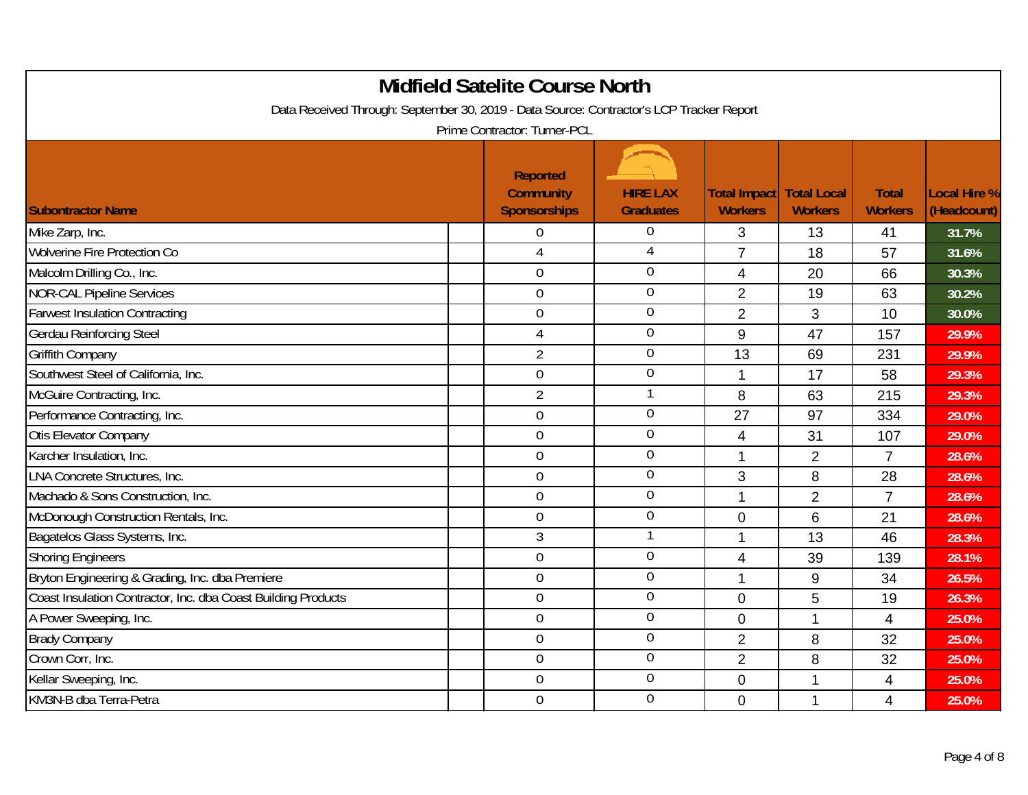| Data Received Through: September 30, 2019 - Data Source: Contractor's LCP Tracker Report | <b>Midfield Satelite Course North</b><br>Prime Contractor: Turner-PCL |                                     |                                       |                                      |                                |                                    |
|------------------------------------------------------------------------------------------|-----------------------------------------------------------------------|-------------------------------------|---------------------------------------|--------------------------------------|--------------------------------|------------------------------------|
| <b>Subontractor Name</b>                                                                 | <b>Reported</b><br><b>Community</b><br><b>Sponsorships</b>            | <b>HIRE LAX</b><br><b>Graduates</b> | <b>Total Impact</b><br><b>Workers</b> | <b>Total Local</b><br><b>Workers</b> | <b>Total</b><br><b>Workers</b> | <b>Local Hire %</b><br>(Headcount) |
| Mike Zarp, Inc.                                                                          | 0                                                                     | $\theta$                            | 3                                     | 13                                   | 41                             | 31.7%                              |
| Wolverine Fire Protection Co                                                             | $\overline{4}$                                                        | $\overline{4}$                      | $\overline{7}$                        | 18                                   | 57                             | 31.6%                              |
| Malcolm Drilling Co., Inc.                                                               | 0                                                                     | $\mathbf 0$                         | 4                                     | 20                                   | 66                             | 30.3%                              |
| <b>NOR-CAL Pipeline Services</b>                                                         | $\boldsymbol{0}$                                                      | $\overline{0}$                      | $\overline{2}$                        | 19                                   | 63                             | 30.2%                              |
| <b>Farwest Insulation Contracting</b>                                                    | $\overline{0}$                                                        | $\overline{0}$                      | $\overline{2}$                        | 3                                    | 10                             | 30.0%                              |
| <b>Gerdau Reinforcing Steel</b>                                                          | 4                                                                     | $\mathbf 0$                         | 9                                     | 47                                   | 157                            | 29.9%                              |
| <b>Griffith Company</b>                                                                  | $\overline{2}$                                                        | $\theta$                            | 13                                    | 69                                   | 231                            | 29.9%                              |
| Southwest Steel of California, Inc.                                                      | $\overline{0}$                                                        | $\overline{0}$                      | 1                                     | 17                                   | 58                             | 29.3%                              |
| McGuire Contracting, Inc.                                                                | $\overline{2}$                                                        |                                     | 8                                     | 63                                   | 215                            | 29.3%                              |
| Performance Contracting, Inc.                                                            | 0                                                                     | $\overline{0}$                      | 27                                    | 97                                   | 334                            | 29.0%                              |
| Otis Elevator Company                                                                    | $\overline{0}$                                                        | $\overline{0}$                      | $\overline{\mathcal{A}}$              | 31                                   | 107                            | 29.0%                              |
| Karcher Insulation, Inc.                                                                 | 0                                                                     | $\overline{0}$                      | 1                                     | $\overline{2}$                       | $\overline{7}$                 | 28.6%                              |
| <b>LNA Concrete Structures, Inc.</b>                                                     | 0                                                                     | $\overline{0}$                      | 3                                     | 8                                    | 28                             | 28.6%                              |
| Machado & Sons Construction, Inc.                                                        | 0                                                                     | $\overline{0}$                      | 1                                     | $\overline{2}$                       | $\overline{7}$                 | 28.6%                              |
| McDonough Construction Rentals, Inc.                                                     | $\boldsymbol{0}$                                                      | $\mathbf 0$                         | $\mathbf 0$                           | 6                                    | 21                             | 28.6%                              |
| Bagatelos Glass Systems, Inc.                                                            | 3                                                                     | 1                                   | 1                                     | 13                                   | 46                             | 28.3%                              |
| <b>Shoring Engineers</b>                                                                 | 0                                                                     | $\overline{0}$                      | $\overline{4}$                        | 39                                   | 139                            | 28.1%                              |
| Bryton Engineering & Grading, Inc. dba Premiere                                          | 0                                                                     | $\overline{0}$                      | 1                                     | $\boldsymbol{9}$                     | 34                             | 26.5%                              |
| Coast Insulation Contractor, Inc. dba Coast Building Products                            | $\overline{0}$                                                        | $\overline{0}$                      | $\overline{0}$                        | 5                                    | 19                             | 26.3%                              |
| A Power Sweeping, Inc.                                                                   | $0\,$                                                                 | $\overline{0}$                      | $\mathbf 0$                           | $\mathbf 1$                          | 4                              | 25.0%                              |
| <b>Brady Company</b>                                                                     | 0                                                                     | $\theta$                            | 2                                     | 8                                    | 32                             | 25.0%                              |
| Crown Corr, Inc.                                                                         | $\overline{0}$                                                        | $\mathbf 0$                         | $\overline{2}$                        | 8                                    | 32                             | 25.0%                              |
| Kellar Sweeping, Inc.                                                                    | $\boldsymbol{0}$                                                      | $\mathbf 0$                         | $\mathbf 0$                           | 1                                    | 4                              | 25.0%                              |
| KM3N-B dba Terra-Petra                                                                   | 0                                                                     | $\overline{0}$                      | $\mathbf 0$                           | $\mathbf{1}$                         | 4                              | 25.0%                              |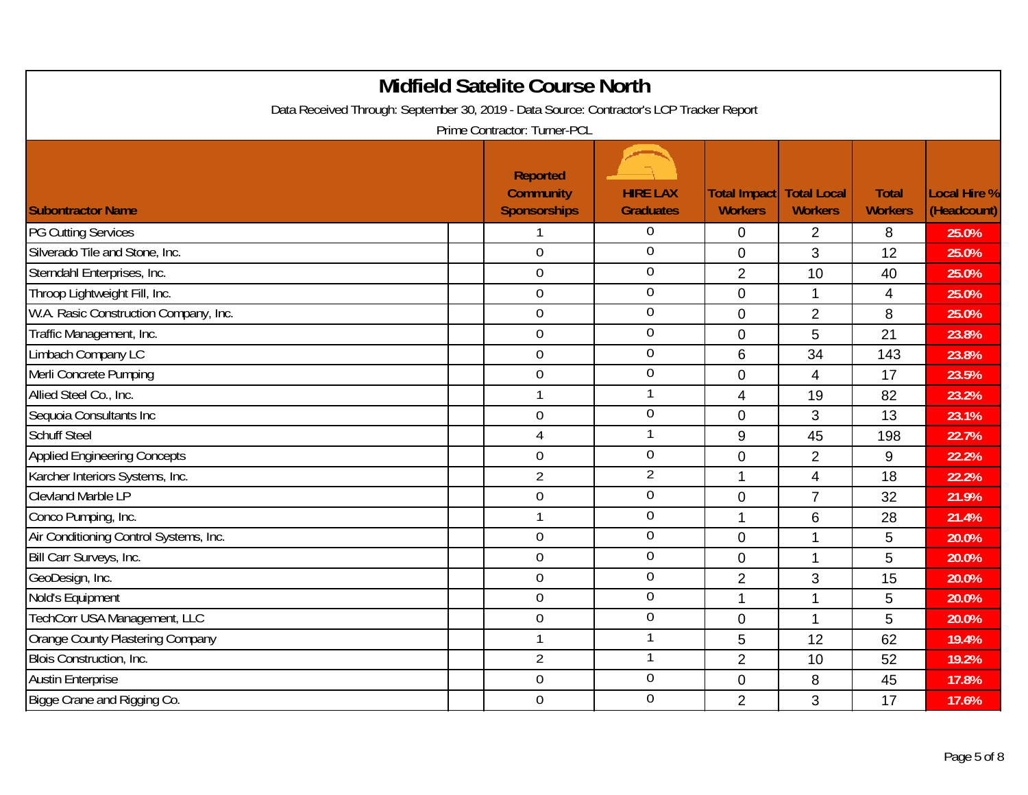|                                        | <b>Midfield Satelite Course North</b><br>Data Received Through: September 30, 2019 - Data Source: Contractor's LCP Tracker Report<br>Prime Contractor: Turner-PCL |                                     |                                |                                      |                                |                                    |
|----------------------------------------|-------------------------------------------------------------------------------------------------------------------------------------------------------------------|-------------------------------------|--------------------------------|--------------------------------------|--------------------------------|------------------------------------|
| <b>Subontractor Name</b>               | <b>Reported</b><br><b>Community</b><br><b>Sponsorships</b>                                                                                                        | <b>HIRE LAX</b><br><b>Graduates</b> | Total Impact<br><b>Workers</b> | <b>Total Local</b><br><b>Workers</b> | <b>Total</b><br><b>Workers</b> | <b>Local Hire %</b><br>(Headcount) |
| <b>PG Cutting Services</b>             |                                                                                                                                                                   | $\Omega$                            | 0                              | 2                                    | 8                              | 25.0%                              |
| Silverado Tile and Stone, Inc.         | $\overline{0}$                                                                                                                                                    | $\overline{0}$                      | $\overline{0}$                 | 3                                    | 12                             | 25.0%                              |
| Sterndahl Enterprises, Inc.            | $\mathbf 0$                                                                                                                                                       | $\theta$                            | $\overline{2}$                 | 10                                   | 40                             | 25.0%                              |
| Throop Lightweight Fill, Inc.          | $\mathbf 0$                                                                                                                                                       | $\mathbf 0$                         | $\mathbf 0$                    | $\mathbf 1$                          | 4                              | 25.0%                              |
| W.A. Rasic Construction Company, Inc.  | $\overline{0}$                                                                                                                                                    | $\overline{0}$                      | $\overline{0}$                 | $\overline{2}$                       | 8                              | 25.0%                              |
| Traffic Management, Inc.               | $\mathbf 0$                                                                                                                                                       | $\mathbf 0$                         | $\overline{0}$                 | 5                                    | 21                             | 23.8%                              |
| Limbach Company LC                     | 0                                                                                                                                                                 | $\overline{0}$                      | 6                              | 34                                   | 143                            | 23.8%                              |
| Merli Concrete Pumping                 | $\overline{0}$                                                                                                                                                    | $\overline{0}$                      | $\mathbf 0$                    | 4                                    | 17                             | 23.5%                              |
| Allied Steel Co., Inc.                 | 1                                                                                                                                                                 | 1                                   | 4                              | 19                                   | 82                             | 23.2%                              |
| Sequoia Consultants Inc                | 0                                                                                                                                                                 | $\overline{0}$                      | $\overline{0}$                 | 3                                    | 13                             | 23.1%                              |
| <b>Schuff Steel</b>                    | $\overline{4}$                                                                                                                                                    | $\mathbf{1}$                        | 9                              | 45                                   | 198                            | 22.7%                              |
| <b>Applied Engineering Concepts</b>    | $\mathbf 0$                                                                                                                                                       | $\mathbf 0$                         | $\mathbf 0$                    | $\overline{2}$                       | 9                              | 22.2%                              |
| Karcher Interiors Systems, Inc.        | $\overline{2}$                                                                                                                                                    | $\overline{2}$                      | $\mathbf{1}$                   | $\overline{4}$                       | 18                             | 22.2%                              |
| Clevland Marble LP                     | $\mathbf 0$                                                                                                                                                       | $\mathbf 0$                         | $\overline{0}$                 | $\overline{7}$                       | 32                             | 21.9%                              |
| Conco Pumping, Inc.                    | 1                                                                                                                                                                 | $\mathbf 0$                         | 1                              | 6                                    | 28                             | 21.4%                              |
| Air Conditioning Control Systems, Inc. | $\mathbf 0$                                                                                                                                                       | $\overline{0}$                      | $\overline{0}$                 | $\mathbf{1}$                         | 5                              | 20.0%                              |
| Bill Carr Surveys, Inc.                | $\mathbf 0$                                                                                                                                                       | $\overline{0}$                      | $\overline{0}$                 | $\mathbf{1}$                         | 5                              | 20.0%                              |
| GeoDesign, Inc.                        | $\mathbf 0$                                                                                                                                                       | $\mathbf 0$                         | $\overline{2}$                 | 3                                    | 15                             | 20.0%                              |
| Nold's Equipment                       | $\overline{0}$                                                                                                                                                    | $\overline{0}$                      | $\mathbf{1}$                   | $\mathbf{1}$                         | 5                              | 20.0%                              |
| TechCorr USA Management, LLC           | $\mathbf 0$                                                                                                                                                       | $\overline{0}$                      | $\mathbf 0$                    | $\mathbf 1$                          | 5                              | 20.0%                              |
| Orange County Plastering Company       | 1                                                                                                                                                                 | -1                                  | 5                              | 12                                   | 62                             | 19.4%                              |
| Blois Construction, Inc.               | $\overline{2}$                                                                                                                                                    | -1                                  | $\overline{2}$                 | 10                                   | 52                             | 19.2%                              |
| <b>Austin Enterprise</b>               | 0                                                                                                                                                                 | $\mathbf 0$                         | $\mathbf 0$                    | 8                                    | 45                             | 17.8%                              |
| Bigge Crane and Rigging Co.            | $\overline{0}$                                                                                                                                                    | $\overline{0}$                      | $\overline{2}$                 | 3                                    | 17                             | 17.6%                              |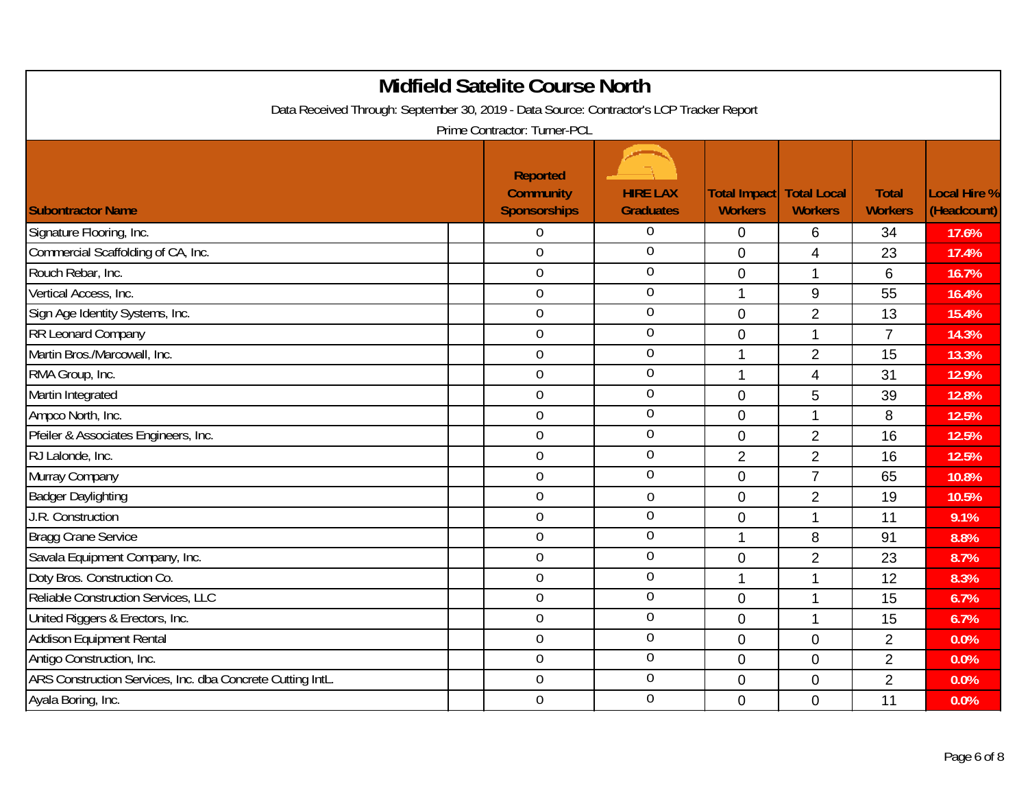| Data Received Through: September 30, 2019 - Data Source: Contractor's LCP Tracker Report | <b>Midfield Satelite Course North</b><br>Prime Contractor: Turner-PCL |                                     |                                       |                                      |                                |                                    |
|------------------------------------------------------------------------------------------|-----------------------------------------------------------------------|-------------------------------------|---------------------------------------|--------------------------------------|--------------------------------|------------------------------------|
| <b>Subontractor Name</b>                                                                 | <b>Reported</b><br><b>Community</b><br><b>Sponsorships</b>            | <b>HIRE LAX</b><br><b>Graduates</b> | <b>Total Impact</b><br><b>Workers</b> | <b>Total Local</b><br><b>Workers</b> | <b>Total</b><br><b>Workers</b> | <b>Local Hire %</b><br>(Headcount) |
| Signature Flooring, Inc.                                                                 | 0                                                                     | $\Omega$                            | 0                                     | 6                                    | 34                             | 17.6%                              |
| Commercial Scaffolding of CA, Inc.                                                       | $\overline{0}$                                                        | $\overline{0}$                      | $\overline{0}$                        | 4                                    | 23                             | 17.4%                              |
| Rouch Rebar, Inc.                                                                        | $\mathbf 0$                                                           | $\theta$                            | $\mathbf 0$                           | $\mathbf{1}$                         | 6                              | 16.7%                              |
| Vertical Access, Inc.                                                                    | $\mathbf 0$                                                           | $\mathbf 0$                         | 1                                     | $\boldsymbol{9}$                     | 55                             | 16.4%                              |
| Sign Age Identity Systems, Inc.                                                          | $\overline{0}$                                                        | $\overline{0}$                      | $\Omega$                              | $\overline{2}$                       | 13                             | 15.4%                              |
| RR Leonard Company                                                                       | 0                                                                     | $\mathbf 0$                         | $\mathbf 0$                           | $\mathbf{1}$                         | $\overline{7}$                 | 14.3%                              |
| Martin Bros./Marcowall, Inc.                                                             | 0                                                                     | $\overline{0}$                      | 1                                     | $\overline{2}$                       | 15                             | 13.3%                              |
| RMA Group, Inc.                                                                          | $\overline{0}$                                                        | $\overline{0}$                      | 1                                     | $\overline{4}$                       | 31                             | 12.9%                              |
| Martin Integrated                                                                        | 0                                                                     | $\mathbf 0$                         | $\mathbf 0$                           | 5                                    | 39                             | 12.8%                              |
| Ampco North, Inc.                                                                        | 0                                                                     | $\overline{0}$                      | $\mathbf 0$                           | $\mathbf 1$                          | 8                              | 12.5%                              |
| Pfeiler & Associates Engineers, Inc.                                                     | $\overline{0}$                                                        | $\overline{0}$                      | $\overline{0}$                        | $\overline{2}$                       | 16                             | 12.5%                              |
| RJ Lalonde, Inc.                                                                         | 0                                                                     | $\theta$                            | $\overline{2}$                        | $\overline{2}$                       | 16                             | 12.5%                              |
| Murray Company                                                                           | $\mathbf 0$                                                           | $\overline{0}$                      | $\mathbf 0$                           | $\overline{7}$                       | 65                             | 10.8%                              |
| <b>Badger Daylighting</b>                                                                | $\overline{0}$                                                        | $\overline{0}$                      | $\mathbf 0$                           | $\overline{2}$                       | 19                             | 10.5%                              |
| J.R. Construction                                                                        | 0                                                                     | $\mathbf 0$                         | $\mathbf 0$                           | $\mathbf{1}$                         | 11                             | 9.1%                               |
| <b>Bragg Crane Service</b>                                                               | $\boldsymbol{0}$                                                      | $\overline{0}$                      | 1                                     | 8                                    | 91                             | 8.8%                               |
| Savala Equipment Company, Inc.                                                           | $\overline{0}$                                                        | $\overline{0}$                      | $\overline{0}$                        | $\overline{2}$                       | 23                             | 8.7%                               |
| Doty Bros. Construction Co.                                                              | 0                                                                     | $\overline{0}$                      | $\mathbf 1$                           | $\mathbf{1}$                         | 12                             | 8.3%                               |
| Reliable Construction Services, LLC                                                      | 0                                                                     | $\theta$                            | $\mathbf 0$                           | $\mathbf 1$                          | 15                             | 6.7%                               |
| United Riggers & Erectors, Inc.                                                          | 0                                                                     | $\mathbf 0$                         | $\mathbf 0$                           | $\mathbf{1}$                         | 15                             | 6.7%                               |
| <b>Addison Equipment Rental</b>                                                          | 0                                                                     | $\mathbf 0$                         | $\mathbf 0$                           | $\pmb{0}$                            | $\overline{2}$                 | 0.0%                               |
| Antigo Construction, Inc.                                                                | 0                                                                     | $\overline{0}$                      | $\overline{0}$                        | 0                                    | $\overline{2}$                 | 0.0%                               |
| ARS Construction Services, Inc. dba Concrete Cutting IntL.                               | 0                                                                     | $\mathbf 0$                         | $\mathbf 0$                           | $\mathbf 0$                          | $\overline{2}$                 | 0.0%                               |
| Ayala Boring, Inc.                                                                       | 0                                                                     | $\overline{0}$                      | $\mathbf 0$                           | $\mathbf 0$                          | 11                             | 0.0%                               |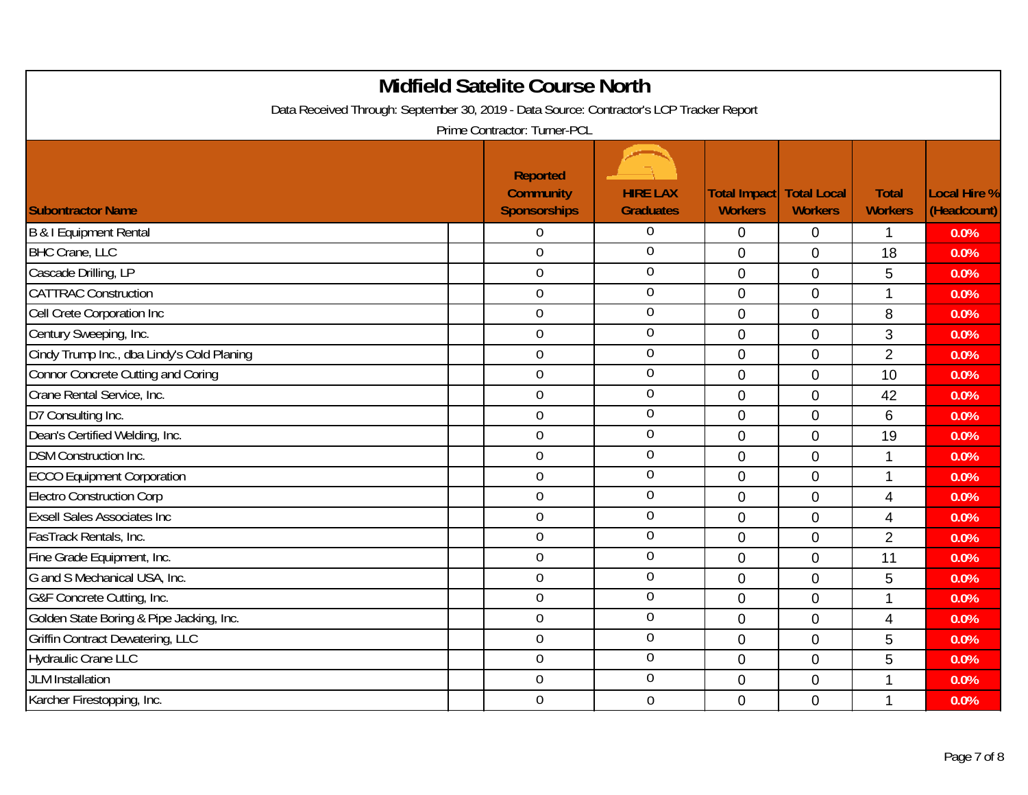| Data Received Through: September 30, 2019 - Data Source: Contractor's LCP Tracker Report | <b>Midfield Satelite Course North</b><br>Prime Contractor: Turner-PCL |                                     |                                       |                                      |                                |                                    |
|------------------------------------------------------------------------------------------|-----------------------------------------------------------------------|-------------------------------------|---------------------------------------|--------------------------------------|--------------------------------|------------------------------------|
| <b>Subontractor Name</b>                                                                 | <b>Reported</b><br><b>Community</b><br><b>Sponsorships</b>            | <b>HIRE LAX</b><br><b>Graduates</b> | <b>Total Impact</b><br><b>Workers</b> | <b>Total Local</b><br><b>Workers</b> | <b>Total</b><br><b>Workers</b> | <b>Local Hire %</b><br>(Headcount) |
| B & I Equipment Rental                                                                   | 0                                                                     | $\Omega$                            | $\overline{0}$                        | $\mathbf 0$                          | $\mathbf 1$                    | 0.0%                               |
| <b>BHC Crane, LLC</b>                                                                    | $\overline{0}$                                                        | $\overline{0}$                      | $\overline{0}$                        | $\mathbf 0$                          | 18                             | 0.0%                               |
| Cascade Drilling, LP                                                                     | $\mathbf 0$                                                           | $\theta$                            | $\mathbf 0$                           | $\mathbf 0$                          | 5                              | 0.0%                               |
| <b>CATTRAC Construction</b>                                                              | $\mathbf 0$                                                           | $\boldsymbol{0}$                    | $\mathbf 0$                           | $\mathbf 0$                          | $\mathbf{1}$                   | 0.0%                               |
| Cell Crete Corporation Inc                                                               | $\overline{0}$                                                        | $\overline{0}$                      | $\overline{0}$                        | $\mathbf 0$                          | 8                              | 0.0%                               |
| Century Sweeping, Inc.                                                                   | $\overline{0}$                                                        | $\overline{0}$                      | $\mathbf 0$                           | $\mathbf 0$                          | 3                              | 0.0%                               |
| Cindy Trump Inc., dba Lindy's Cold Planing                                               | $\mathbf 0$                                                           | $\overline{0}$                      | $\mathbf{0}$                          | $\mathbf 0$                          | $\overline{2}$                 | 0.0%                               |
| <b>Connor Concrete Cutting and Coring</b>                                                | $\overline{0}$                                                        | $\overline{0}$                      | $\overline{0}$                        | $\overline{0}$                       | 10                             | 0.0%                               |
| Crane Rental Service, Inc.                                                               | $\boldsymbol{0}$                                                      | $\mathbf 0$                         | $\mathbf 0$                           | $\pmb{0}$                            | 42                             | 0.0%                               |
| D7 Consulting Inc.                                                                       | $\mathbf 0$                                                           | $\overline{0}$                      | $\overline{0}$                        | $\mathbf 0$                          | 6                              | 0.0%                               |
| Dean's Certified Welding, Inc.                                                           | $\mathbf 0$                                                           | $\mathbf 0$                         | $\overline{0}$                        | $\overline{0}$                       | 19                             | 0.0%                               |
| <b>DSM Construction Inc.</b>                                                             | $\mathbf 0$                                                           | $\mathbf 0$                         | $\mathbf 0$                           | $\mathbf 0$                          | 1                              | 0.0%                               |
| <b>ECCO Equipment Corporation</b>                                                        | $\mathbf 0$                                                           | $\overline{0}$                      | $\overline{0}$                        | $\mathbf 0$                          | $\mathbf{1}$                   | 0.0%                               |
| <b>Electro Construction Corp</b>                                                         | $\mathbf 0$                                                           | $\mathbf 0$                         | $\overline{0}$                        | $\mathbf 0$                          | 4                              | 0.0%                               |
| <b>Exsell Sales Associates Inc.</b>                                                      | $\mathbf 0$                                                           | $\boldsymbol{0}$                    | $\mathbf 0$                           | $\mathbf 0$                          | $\overline{4}$                 | 0.0%                               |
| FasTrack Rentals, Inc.                                                                   | $\overline{0}$                                                        | $\overline{0}$                      | $\overline{0}$                        | $\mathbf 0$                          | $\overline{2}$                 | 0.0%                               |
| Fine Grade Equipment, Inc.                                                               | $\mathbf 0$                                                           | $\overline{0}$                      | $\overline{0}$                        | $\mathbf 0$                          | 11                             | 0.0%                               |
| G and S Mechanical USA, Inc.                                                             | $\mathbf 0$                                                           | $\overline{0}$                      | $\mathbf 0$                           | $\mathbf 0$                          | 5                              | 0.0%                               |
| G&F Concrete Cutting, Inc.                                                               | $\overline{0}$                                                        | $\overline{0}$                      | $\Omega$                              | $\overline{0}$                       | $\mathbf{1}$                   | 0.0%                               |
| Golden State Boring & Pipe Jacking, Inc.                                                 | $\boldsymbol{0}$                                                      | $\mathbf 0$                         | $\mathbf 0$                           | $\pmb{0}$                            | $\overline{\mathbf{4}}$        | 0.0%                               |
| <b>Griffin Contract Dewatering, LLC</b>                                                  | $\mathbf 0$                                                           | $\overline{0}$                      | $\mathbf 0$                           | $\mathbf 0$                          | 5                              | 0.0%                               |
| <b>Hydraulic Crane LLC</b>                                                               | $\mathbf 0$                                                           | $\overline{0}$                      | $\Omega$                              | $\overline{0}$                       | 5                              | 0.0%                               |
| <b>JLM</b> Installation                                                                  | $\mathbf 0$                                                           | $\mathbf 0$                         | $\mathbf 0$                           | $\pmb{0}$                            | $\mathbf{1}$                   | 0.0%                               |
| Karcher Firestopping, Inc.                                                               | $\mathbf 0$                                                           | $\mathbf 0$                         | 0                                     | $\mathbf 0$                          | $\mathbf 1$                    | 0.0%                               |